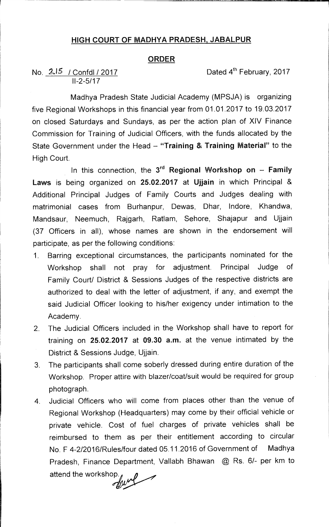## **HIGH COURT OF MADHYA PRADESH, JABALPUR**

## **ORDER**

## No.  $2\sqrt{5}$  / Confdl / 2017 **Dated 4th February, 2017** 11-2-5/17

Madhya Pradesh State Judicial Academy (MPSJA) is organizing five Regional Workshops in this financial year from 01.01.2017 to 19.03.2017 on closed Saturdays and Sundays, as per the action plan of XIV Finance Commission for Training of Judicial Officers, with the funds allocated by the State Government under the Head — **"Training & Training Material"** to the High Court.

In this connection, the  $3<sup>rd</sup>$  Regional Workshop on  $-$  Family **Laws** is being organized on **25.02.2017** at **Ujjain** in which Principal & Additional Principal Judges of Family Courts and Judges dealing with matrimonial cases from Burhanpur, Dewas, Dhar, lndore, Khandwa, Mandsaur, Neemuch, Rajgarh, Ratlam, Sehore, Shajapur and Ujjain (37 Officers in all), whose names are shown in the endorsement will participate, as per the following conditions:

- 1. Barring exceptional circumstances, the participants nominated for the Workshop shall not pray for adjustment. Principal Judge of Family Court/ District & Sessions Judges of the respective districts are authorized to deal with the letter of adjustment, if any, and exempt the said Judicial Officer looking to his/her exigency under intimation to the Academy.
- 2. The Judicial Officers included in the Workshop shall have to report for training on **25.02.2017** at **09.30 am.** at the venue intimated by the District & Sessions Judge, Ujjain.
- 3. The participants shall come soberly dressed during entire duration of the Workshop. Proper attire with blazer/coat/suit would be required for group photograph.
- 4. Judicial Officers who will come from places other than the venue of Regional Workshop (Headquarters) may come by their official vehicle or private vehicle. Cost of fuel charges of private vehicles shall be reimbursed to them as per their entitlement according to circular No. F 4-2/2016/Rules/four dated 05.11.2016 of Government of Madhya Pradesh, Finance Department, Vallabh Bhawan @ Rs. 6/- per km to

attend the workshop.<br> $\mathcal{M}$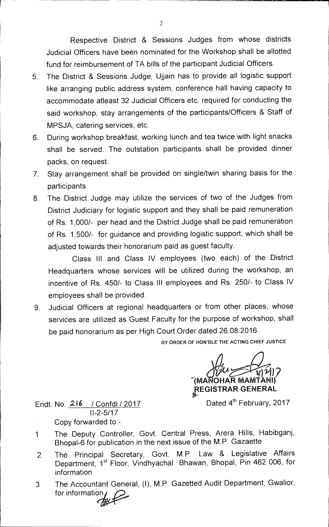Respective District & Sessions Judges from whose districts Judicial Officers have been nominated for the Workshop shall be allotted fund for reimbursement of TA bills of the participant Judicial Officers.

- 5. The District & Sessions Judge, Ujjain has to provide all logistic support like arranging public address system, conference hall having capacity to accommodate atleast 32 Judicial Officers etc. required for conducting the said workshop, stay arrangements of the participants/Officers & Staff of MPSJA, catering services, etc.
- 6. During workshop breakfast, working lunch and tea twice with light snacks shall be served. The outstation participants shall be provided dinner packs, on request.
- 7. Stay arrangement shall be provided on single/twin sharing basis for the participants.
- 8. The District Judge may utilize the services of two of the Judges from District Judiciary for logistic support and they shall be paid remuneration of Rs. 1,000/- per head and the District Judge shall be paid remuneration of Rs. 1,500/- for guidance and providing logistic support, which shall be adjusted towards their honorarium paid as guest faculty.

Class III and Class IV employees (two each) of the District Headquarters whose services will be utilized during the workshop, an incentive of Rs. 450/- to Class III employees and Rs. 250/- to Class IV employees shall be provided.

9. Judicial Officers at regional headquarters or from other places, whose services are utilized as Guest Faculty for the purpose of workshop, shall be paid honorarium as per High Court Order dated 26.08.2016.

**BY ORDER OF HON'BLE THE ACTING CHIEF JUSTICE** 

 $\widehat{\mathbf{y}}_{\text{l}}(\mathbf{y}_{\text{l}})$ **(MANOHAR MAMTANI) REGISTRAR GENERAL** 

Dated 4<sup>th</sup> February, 2017

Endt. No. 216 / Confdl / 2017 11-2-5/17 Copy forwarded to:-

- 1 The Deputy Controller, Govt. Central Press, Arera Hills, Habibganj, Bhopal-6 for publication in the next issue of the M.P. Gazaette
- 2 The Principal Secretary, Govt. M.P. Law & Legislative Affairs Department, 1<sup>st</sup> Floor, Vindhyachal Bhawan, Bhopal, Pin 462 006, for information.
- 3 The Accountant General, (1), M.P. Gazetted Audit Department, Gwalior, for information.

2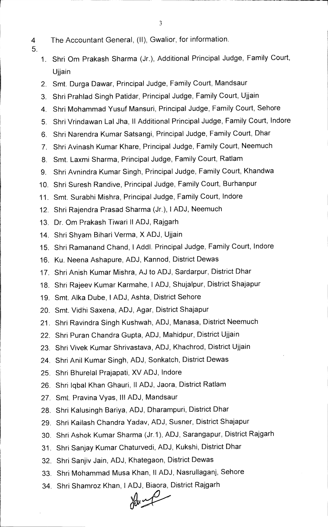- 3
- 4 The Accountant General, (II), Gwalior, for information.
- 5.
- 
- 1. Shri Om Prakash Sharma (Jr.), Additional Principal Judge, Family Court, Ujjain
- 2. Smt. Durga Dawar, Principal Judge, Family Court, Mandsaur
- 3. Shri Prahlad Singh Patidar, Principal Judge, Family Court, Ujjain
- 4. Shri Mohammad Yusuf Mansuri, Principal Judge, Family Court, Sehore
- 5. Shri Vrindawan Lal Jha, II Additional Principal Judge, Family Court, Indore
- 6. Shri Narendra Kumar Satsangi, Principal Judge, Family Court, Dhar
- 7. Shri Avinash Kumar Khare, Principal Judge, Family Court, Neemuch
- 8. Smt. Laxmi Sharma, Principal Judge, Family Court, Ratlam
- 9. Shri Avnindra Kumar Singh, Principal Judge, Family Court, Khandwa
- 10. Shri Suresh Randive, Principal Judge, Family Court, Burhanpur
- 11. Smt. Surabhi Mishra, Principal Judge, Family Court, Indore
- 12. Shri Rajendra Prasad Sharma (Jr.), I ADJ, Neemuch
- 13. Dr. Om Prakash Tiwari II ADJ, Rajgarh
- 14. Shri Shyam Bihari Verma, X ADJ, Ujjain
- 15. Shri Ramanand Chand, I Addl. Principal Judge, Family Court, Indore
- 16. Ku. Neena Ashapure, ADJ, Kannod, District Dewas
- 17. Shri Anish Kumar Mishra, AJ to ADJ, Sardarpur, District Dhar
- 18. Shri Rajeev Kumar Karmahe, I ADJ, Shujalpur, District Shajapur
- 19. Smt. Alka Dube, I ADJ, Ashta, District Sehore
- 20. Smt. Vidhi Saxena, ADJ, Agar, District Shajapur
- 21. Shri Ravindra Singh Kushwah, ADJ, Manasa, District Neemuch
- 22. Shri Puran Chandra Gupta, ADJ, Mahidpur, District Ujjain
- 23. Shri Vivek Kumar Shrivastava, ADJ, Khachrod, District Ujjain
- 24. Shri Anil Kumar Singh, ADJ, Sonkatch, District Dewas
- 25. Shri Bhurelal Prajapati, XV ADJ, Indore
- 26. Shri lqbal Khan Ghauri, II ADJ, Jaora, District Ratlam
- 27. Smt. Pravina Vyas, Ill ADJ, Mandsaur
- 28. Shri Kalusingh Bariya, ADJ, Dharampuri, District Dhar
- 29. Shri Kailash Chandra Yadav, ADJ, Susner, District Shajapur
- 30. Shri Ashok Kumar Sharma (Jr.1), ADJ, Sarangapur, District Rajgarh
- 31. Shri Sanjay Kumar Chaturvedi, ADJ, Kukshi, District Dhar
- 32. Shri Sanjiv Jain, ADJ, Khategaon, District Dewas
- 33. Shri Mohammad Musa Khan, ll ADJ, Nasrullaganj, Sehore
- 34. Shri Shamroz Khan, I ADJ, Biaora, District Rajgarh<br>
W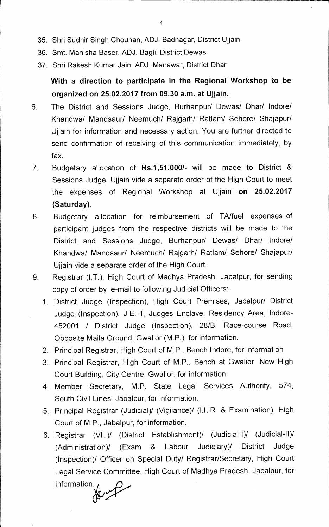- 35. Shri Sudhir Singh Chouhan, ADJ, Badnagar, District Ujjain
- 36. Smt. Manisha Baser, ADJ, Bagli, District Dewas
- 37. Shri Rakesh Kumar Jain, ADJ, Manawar, District Dhar

**With a direction to participate in the Regional Workshop to be organized on 25.02.2017 from 09.30 a.m. at Ujjain.** 

- 6. The District and Sessions Judge, Burhanpur/ Dewas/ Dhar/ Indore/ Khandwa/ Mandsaur/ Neemuch/ Rajgarh/ Ratlam/ Sehore/ Shajapur/ Ujjain for information and necessary action. You are further directed to send confirmation of receiving of this communication immediately, by fax
- 7 Budgetary allocation of **Rs.1,51,000/-** will be made to District & Sessions Judge, Ujjain vide a separate order of the High Court to meet the expenses of Regional Workshop at Ujjain **on 25.02.2017 (Saturday).**
- 8. Budgetary allocation for reimbursement of TA/fuel expenses of participant judges from the respective districts will be made to the District and Sessions Judge, Burhanpur/ Dewas/ Dhar/ Indore/ Khandwa/ Mandsaur/ Neemuch/ Rajgarh/ Ratlam/ Sehore/ Shajapur/ Ujjain vide a separate order of the High Court.
- 9. Registrar (I.T.), High Court of Madhya Pradesh, Jabalpur, for sending copy of order by e-mail to following Judicial Officers:-
	- 1. District Judge (Inspection), High Court Premises, Jabalpur/ District Judge (Inspection), J.E.-1, Judges Enclave, Residency Area, Indore-452001 / District Judge (Inspection), 28/B, Race-course Road, Opposite Maila Ground, Gwalior (M.P.), for information.
	- 2. Principal Registrar, High Court of M.P., Bench Indore, for information
	- 3. Principal Registrar, High Court of M.P., Bench at Gwalior, New High Court Building, City Centre, Gwalior, for information.
	- 4. Member Secretary, M.P. State Legal Services Authority, 574, South Civil Lines, Jabalpur, for information.
	- 5. Principal Registrar (Judicial)/ (Vigilance)/ (I.L.R. & Examination), High Court of M.P., Jabalpur, for information.
	- 6. Registrar (VL.)/ (District Establishment)/ (Judicial-I)/ (Judicial-II)! (Administration)/ (Exam & Labour Judiciary)/ District Judge (Inspection)/ Officer on Special Duty/ Registrar/Secretary, High Court Legal Service Committee, High Court of Madhya Pradesh, Jabalpur, for

information.<br>Allen